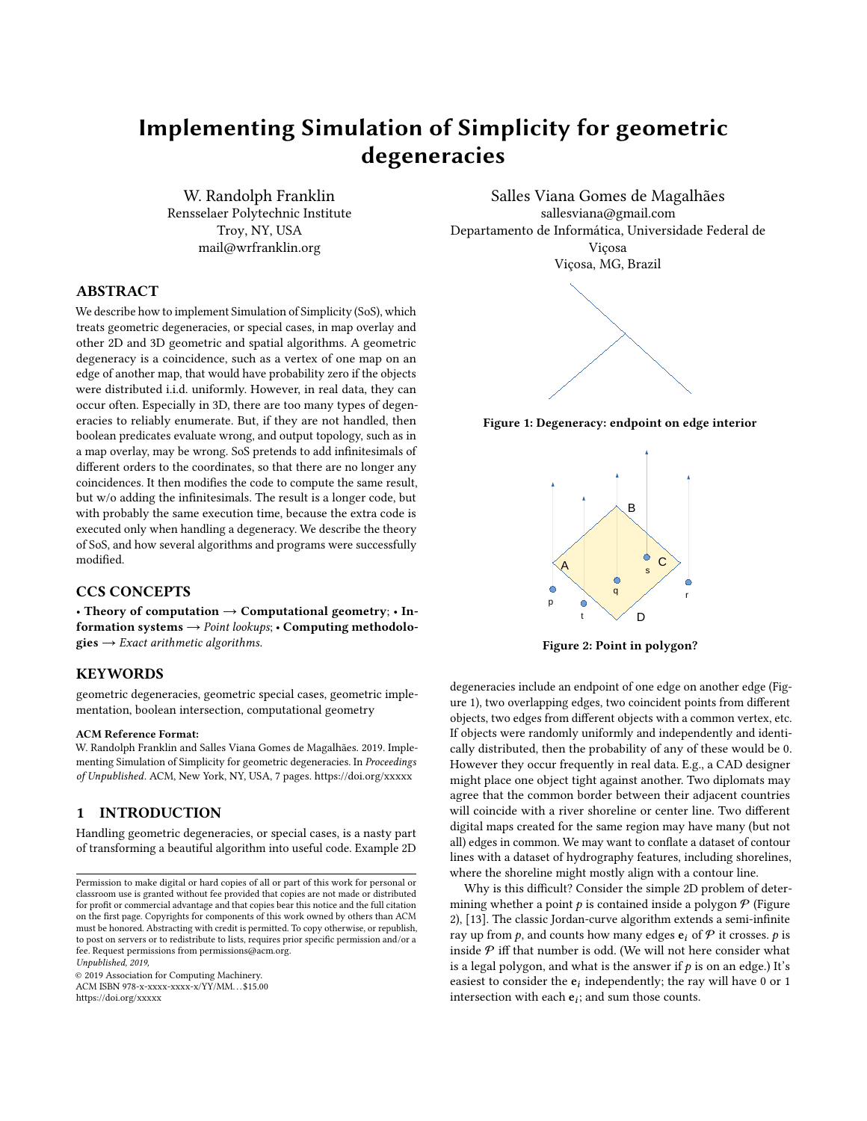# Implementing Simulation of Simplicity for geometric degeneracies

W. Randolph Franklin Rensselaer Polytechnic Institute Troy, NY, USA mail@wrfranklin.org

# ABSTRACT

We describe how to implement Simulation of Simplicity (SoS), which treats geometric degeneracies, or special cases, in map overlay and other 2D and 3D geometric and spatial algorithms. A geometric degeneracy is a coincidence, such as a vertex of one map on an edge of another map, that would have probability zero if the objects were distributed i.i.d. uniformly. However, in real data, they can occur often. Especially in 3D, there are too many types of degeneracies to reliably enumerate. But, if they are not handled, then boolean predicates evaluate wrong, and output topology, such as in a map overlay, may be wrong. SoS pretends to add infinitesimals of different orders to the coordinates, so that there are no longer any coincidences. It then modifies the code to compute the same result, but w/o adding the infinitesimals. The result is a longer code, but with probably the same execution time, because the extra code is executed only when handling a degeneracy. We describe the theory of SoS, and how several algorithms and programs were successfully modified.

# CCS CONCEPTS

• Theory of computation  $\rightarrow$  Computational geometry; • Information systems  $\rightarrow$  Point lookups; • Computing methodolo- $\mathbf{gies} \rightarrow Exact\ arithmetic\ algorithms.$ 

### **KEYWORDS**

geometric degeneracies, geometric special cases, geometric implementation, boolean intersection, computational geometry

#### ACM Reference Format:

W. Randolph Franklin and Salles Viana Gomes de Magalhães. 2019. Implementing Simulation of Simplicity for geometric degeneracies. In Proceedings of Unpublished. ACM, New York, NY, USA, [7](#page-6-0) pages.<https://doi.org/xxxxx>

# 1 INTRODUCTION

Handling geometric degeneracies, or special cases, is a nasty part of transforming a beautiful algorithm into useful code. Example 2D

Unpublished, 2019,

© 2019 Association for Computing Machinery. ACM ISBN 978-x-xxxx-xxxx-x/YY/MM. . . \$15.00 <https://doi.org/xxxxx>

<span id="page-0-0"></span>Salles Viana Gomes de Magalhães sallesviana@gmail.com Departamento de Informática, Universidade Federal de Viçosa Viçosa, MG, Brazil



<span id="page-0-1"></span>Figure 1: Degeneracy: endpoint on edge interior



Figure 2: Point in polygon?

degeneracies include an endpoint of one edge on another edge (Figure [1\)](#page-0-0), two overlapping edges, two coincident points from different objects, two edges from different objects with a common vertex, etc. If objects were randomly uniformly and independently and identically distributed, then the probability of any of these would be 0. However they occur frequently in real data. E.g., a CAD designer might place one object tight against another. Two diplomats may agree that the common border between their adjacent countries will coincide with a river shoreline or center line. Two different digital maps created for the same region may have many (but not all) edges in common. We may want to conflate a dataset of contour lines with a dataset of hydrography features, including shorelines, where the shoreline might mostly align with a contour line.

Why is this difficult? Consider the simple 2D problem of determining whether a point  $p$  is contained inside a polygon  $P$  (Figure [2\)](#page-0-1), [\[13\]](#page-6-1). The classic Jordan-curve algorithm extends a semi-infinite ray up from  $p$ , and counts how many edges  $e_i$  of  $P$  it crosses.  $p$  is inside  ${\mathcal P}$  iff that number is odd. (We will not here consider what is a legal polygon, and what is the answer if  $p$  is on an edge.) It's easiest to consider the  $e_i$  independently; the ray will have 0 or 1 intersection with each  $e_i$  and sum those counts intersection with each  $e_i$ ; and sum those counts.

Permission to make digital or hard copies of all or part of this work for personal or classroom use is granted without fee provided that copies are not made or distributed for profit or commercial advantage and that copies bear this notice and the full citation on the first page. Copyrights for components of this work owned by others than ACM must be honored. Abstracting with credit is permitted. To copy otherwise, or republish, to post on servers or to redistribute to lists, requires prior specific permission and/or a fee. Request permissions from permissions@acm.org.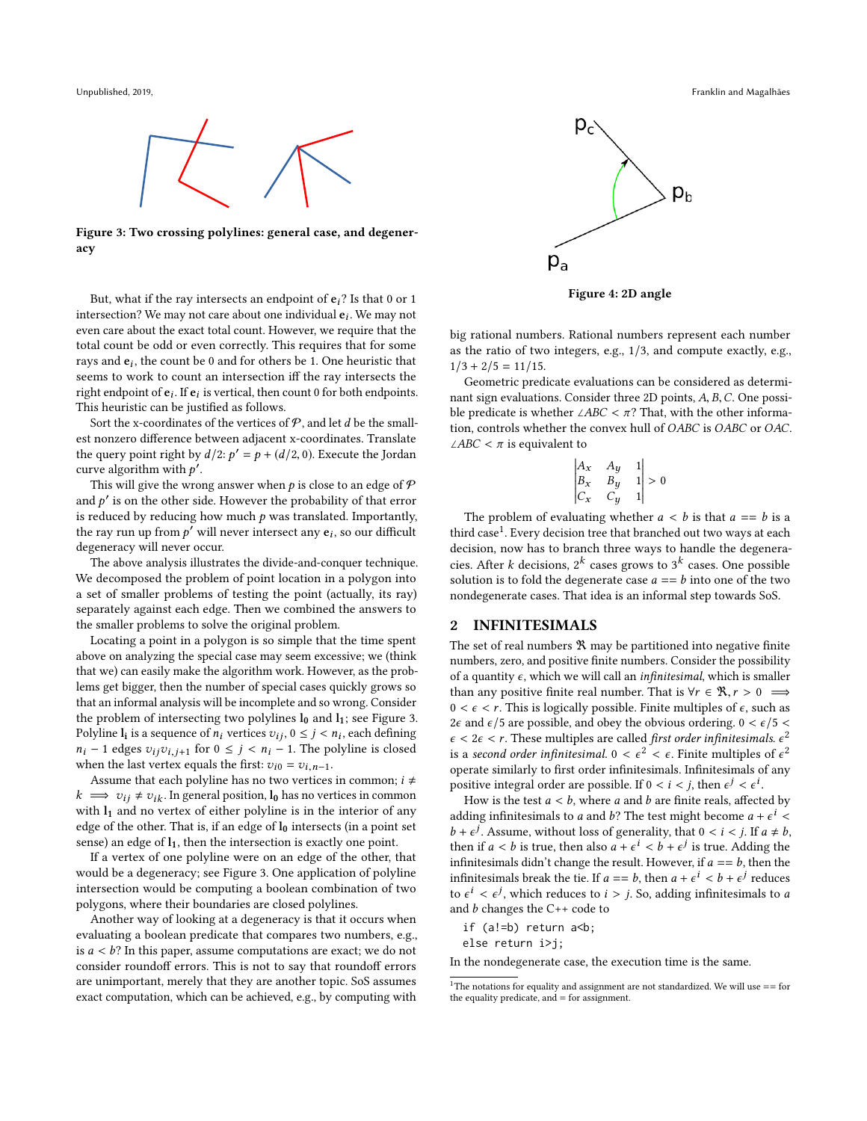<span id="page-1-0"></span>

Figure 3: Two crossing polylines: general case, and degeneracy

But, what if the ray intersects an endpoint of  $e_i$ ? Is that 0 or 1 intersection? We may not care about one individual  $e_i$ . We may not over a care about the overt total count. However, we require that the even care about the exact total count. However, we require that the total count be odd or even correctly. This requires that for some rays and  $e_i$ , the count be 0 and for others be 1. One heuristic that<br>seems to work to count an intersection iff the ray intersects the seems to work to count an intersection iff the ray intersects the right endpoint of  $\mathbf{e}_i$ . If  $\mathbf{e}_i$  is vertical, then count 0 for both endpoints.<br>This houristic can be justified as follows This heuristic can be justified as follows.

Sort the x-coordinates of the vertices of  $P$ , and let d be the smallest nonzero difference between adjacent x-coordinates. Translate the query point right by  $d/2$ :  $p' = p + (d/2, 0)$ . Execute the Jordan curve algorithm with  $p'$ curve algorithm with  $p'$ .<br>This will give the wrote

This will give the wrong answer when  $p$  is close to an edge of  $\mathcal P$ and  $p'$  is on the other side. However the probability of that error<br>is reduced by reducing how much a was translated Importantly is reduced by reducing how much  $p$  was translated. Importantly, the ray run up from  $p'$  will never intersect any  $e_i$ , so our difficult degeneracy will never occur.

The above analysis illustrates the divide-and-conquer technique. We decomposed the problem of point location in a polygon into a set of smaller problems of testing the point (actually, its ray) separately against each edge. Then we combined the answers to the smaller problems to solve the original problem.

Locating a point in a polygon is so simple that the time spent above on analyzing the special case may seem excessive; we (think that we) can easily make the algorithm work. However, as the problems get bigger, then the number of special cases quickly grows so that an informal analysis will be incomplete and so wrong. Consider the problem of intersecting two polylines  $l_0$  and  $l_1$ ; see Figure [3.](#page-1-0) Polyline  $I_i$  is a sequence of  $n_i$  vertices  $v_{ij}$ ,  $0 \le j \le n_i$ , each defining  $n_i - 1$  adges  $v_{i,i}$  is a for  $0 \le i \le n_i - 1$ . The polyline is closed  $n_i$  – 1 edges  $v_{ij}v_{i,j+1}$  for  $0 \leq j < n_i$  – 1. The polyline is closed when the last vertex equals the first:  $v_{i0} = v_{i,n-1}$ .

Assume that each polyline has no two vertices in common;  $i \neq$  $k \implies v_{ij} \neq v_{ik}$ . In general position,  $l_0$  has no vertices in common with  $l_1$  and no vertex of either polyline is in the interior of any edge of the other. That is, if an edge of  $l_0$  intersects (in a point set sense) an edge of  $l_1$ , then the intersection is exactly one point.

If a vertex of one polyline were on an edge of the other, that would be a degeneracy; see Figure [3.](#page-1-0) One application of polyline intersection would be computing a boolean combination of two polygons, where their boundaries are closed polylines.

Another way of looking at a degeneracy is that it occurs when evaluating a boolean predicate that compares two numbers, e.g., is  $a < b$ ? In this paper, assume computations are exact; we do not consider roundoff errors. This is not to say that roundoff errors are unimportant, merely that they are another topic. SoS assumes exact computation, which can be achieved, e.g., by computing with

<span id="page-1-2"></span>

Figure 4: 2D angle

big rational numbers. Rational numbers represent each number as the ratio of two integers, e.g., 1/3, and compute exactly, e.g.,  $1/3 + 2/5 = 11/15$ .

Geometric predicate evaluations can be considered as determinant sign evaluations. Consider three 2D points, A, B,C. One possible predicate is whether ∠ABC <  $\pi$ ? That, with the other information, controls whether the convex hull of OABC is OABC or OAC. <sup>∠</sup>ABC < π is equivalent to

$$
\begin{vmatrix} A_x & A_y & 1 \\ B_x & B_y & 1 \\ C_x & C_y & 1 \end{vmatrix} > 0
$$

The problem of evaluating whether  $a < b$  is that  $a == b$  is a<br>rd case<sup>1</sup>. Every decision tree that branched out two ways at each third case $^1$  $^1$ . Every decision tree that branched out two ways at each decision, now has to branch three ways to handle the degeneracies. After k decisions,  $2^k$  cases grows to  $3^k$  cases. One possible solution is to fold the degenerate case  $a = -h$  into one of the two solution is to fold the degenerate case  $a == b$  into one of the two nondegenerate cases. That idea is an informal step towards SoS.

#### 2 INFINITESIMALS

The set of real numbers  $\Re$  may be partitioned into negative finite numbers, zero, and positive finite numbers. Consider the possibility of a quantity  $\epsilon$ , which we will call an *infinitesimal*, which is smaller than any positive finite real number. That is  $\forall r \in \mathcal{R}, r > 0 \implies$  $0 < \epsilon < r$ . This is logically possible. Finite multiples of  $\epsilon$ , such as 2 $\epsilon$  and  $\epsilon$ /5 are possible, and obey the obvious ordering. 0 <  $\epsilon$ /5 <  $\epsilon < 2\epsilon < r$ . These multiples are called *first order infinitesimals.*  $\epsilon^2$ <br>is a second order infinitesimal  $0 < \epsilon^2 < \epsilon$ . Finite multiples of  $\epsilon^2$ is a second order infinitesimal.  $0 < \epsilon^2 < \epsilon$ . Finite multiples of  $\epsilon^2$ <br>operate similarly to first order infinitesimals. Infinitesimals of any operate similarly to first order infinitesimals. Infinitesimals of any positive integral order are possible. If  $0 < i < j$ , then  $\epsilon^j < \epsilon^l$ .<br>How is the test  $a < b$ , where a and h are finite reals, affect.

stuve integral order are possible. If  $0 \leq t \leq f$ , then  $\epsilon^j \leq \epsilon$ .<br>How is the test  $a < b$ , where a and b are finite reals, affected by<br>ding infinitesimals to a and b<sup>2</sup>. The test might become  $a + \epsilon^i$ adding infinitesimals to a and b? The test might become  $a + \epsilon^i$  < adding infinitesimals to a and b: The test might become  $a + \epsilon < b + \epsilon^j$ . Assume, without loss of generality, that  $0 < i < j$ . If  $a \neq b$ , then if  $a < b$  is true, then also  $a + \epsilon^j < b + \epsilon^j$  is true. Adding the then if  $a < b$  is true, then also  $a + \epsilon^l < b + \epsilon^j$  is true. Adding the infinitesimals didn't change the result. However if  $a = -b$ , then the infinitesimals didn't change the result. However, if  $a == b$ , then the infinitesimals break the tie. If  $a = b$ , then  $a + \epsilon^i < b + \epsilon^j$  reduces to  $\epsilon^i < \epsilon^j$  which reduces to  $i > i$ . So adding infinitesimals to a to  $\epsilon^i < \epsilon^j$ , which reduces to  $i > j$ . So, adding infinitesimals to a and h changes the C++ code to to  $\epsilon^2 < \epsilon^3$ , which reduces to the code to and b changes the C++ code to

if (a!=b) return a<b;

else return i>j;

In the nondegenerate case, the execution time is the same.

<span id="page-1-1"></span> $^{\rm 1}$  The notations for equality and assignment are not standardized. We will use == for the equality predicate, and = for assignment.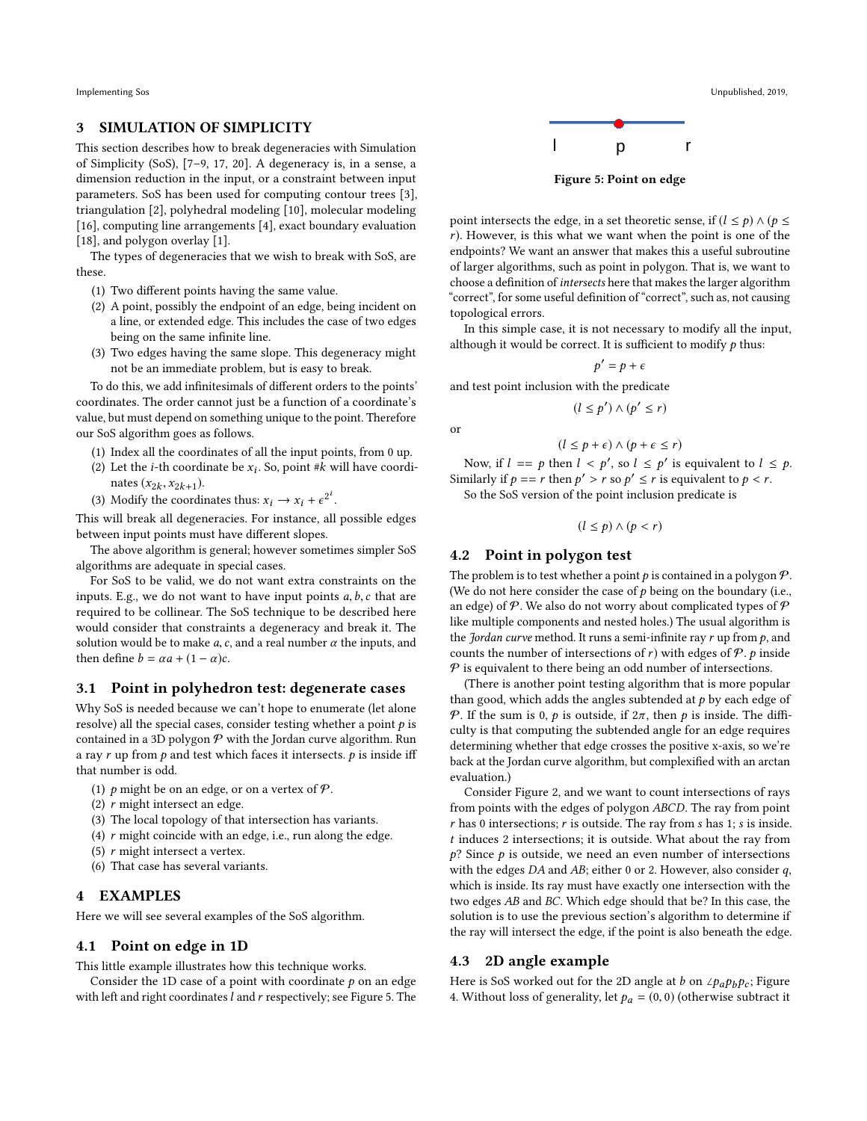#### 3 SIMULATION OF SIMPLICITY

This section describes how to break degeneracies with Simulation of Simplicity (SoS), [\[7–](#page-6-2)[9,](#page-6-3) [17,](#page-6-4) [20\]](#page-6-5). A degeneracy is, in a sense, a dimension reduction in the input, or a constraint between input parameters. SoS has been used for computing contour trees [\[3\]](#page-6-6), triangulation [\[2\]](#page-6-7), polyhedral modeling [\[10\]](#page-6-8), molecular modeling [\[16\]](#page-6-9), computing line arrangements [\[4\]](#page-6-10), exact boundary evaluation [\[18\]](#page-6-11), and polygon overlay [\[1\]](#page-6-12).

The types of degeneracies that we wish to break with SoS, are these.

- (1) Two different points having the same value.
- (2) A point, possibly the endpoint of an edge, being incident on a line, or extended edge. This includes the case of two edges being on the same infinite line.
- (3) Two edges having the same slope. This degeneracy might not be an immediate problem, but is easy to break.

To do this, we add infinitesimals of different orders to the points' coordinates. The order cannot just be a function of a coordinate's value, but must depend on something unique to the point. Therefore our SoS algorithm goes as follows.

- (1) Index all the coordinates of all the input points, from 0 up.
- (2) Let the *i*-th coordinate be  $x_i$ . So, point #*k* will have coordinate  $(x_i, x_{i+1})$ nates  $(x_{2k}, x_{2k+1})$ .<br>Modify the exerci-,  $x_{2k+1}$
- (3) Modify the coordinates thus:  $x_i \rightarrow x_i + \epsilon^{2^i}$ .

This will break all degeneracies. For instance, all possible edges between input points must have different slopes.

The above algorithm is general; however sometimes simpler SoS algorithms are adequate in special cases.

For SoS to be valid, we do not want extra constraints on the inputs. E.g., we do not want to have input points  $a, b, c$  that are required to be collinear. The SoS technique to be described here would consider that constraints a degeneracy and break it. The solution would be to make a, c, and a real number  $\alpha$  the inputs, and then define  $b = \alpha a + (1 - \alpha)c$ .

#### 3.1 Point in polyhedron test: degenerate cases

Why SoS is needed because we can't hope to enumerate (let alone resolve) all the special cases, consider testing whether a point  $p$  is contained in a 3D polygon  $P$  with the Jordan curve algorithm. Run a ray  $r$  up from  $p$  and test which faces it intersects.  $p$  is inside iff that number is odd.

- (1) p might be on an edge, or on a vertex of  $\mathcal{P}$ .
- (2) r might intersect an edge.
- (3) The local topology of that intersection has variants.
- (4)  $r$  might coincide with an edge, i.e., run along the edge.
- (5)  $r$  might intersect a vertex.
- (6) That case has several variants.

#### 4 EXAMPLES

Here we will see several examples of the SoS algorithm.

#### 4.1 Point on edge in 1D

This little example illustrates how this technique works.

Consider the 1D case of a point with coordinate  $p$  on an edge with left and right coordinates  $l$  and  $r$  respectively; see Figure [5.](#page-2-0) The

<span id="page-2-0"></span>

Figure 5: Point on edge

point intersects the edge, in a set theoretic sense, if  $(l \leq p) \wedge (p \leq$ r). However, is this what we want when the point is one of the endpoints? We want an answer that makes this a useful subroutine of larger algorithms, such as point in polygon. That is, we want to choose a definition of intersects here that makes the larger algorithm "correct", for some useful definition of "correct", such as, not causing topological errors.

In this simple case, it is not necessary to modify all the input, although it would be correct. It is sufficient to modify  $p$  thus:

> $\overline{f}$  $p' = p + \epsilon$

and test point inclusion with the predicate

$$
(l \le p') \land (p' \le r)
$$

$$
(l \leq p + \epsilon) \land (p + \epsilon \leq r)
$$

Now, if  $l = p$  then  $l < p'$ , so  $l \le p'$  is equivalent to  $l \le p$ .<br>
milarly if  $p = r$  then  $p' > r$  so  $p' < r$  is equivalent to  $p \le r$ . Similarly if  $p = r$  then  $p' > r$  so  $p' \le r$  is equivalent to  $p < r$ .<br>So the SoS version of the point inclusion predicate is

So the SoS version of the point inclusion predicate is

 $(l \leq p) \wedge (p < r)$ 

### 4.2 Point in polygon test

or

The problem is to test whether a point  $p$  is contained in a polygon  $\mathcal{P}$ . (We do not here consider the case of  $p$  being on the boundary (i.e., an edge) of  $P$ . We also do not worry about complicated types of  $P$ like multiple components and nested holes.) The usual algorithm is the *Jordan curve* method. It runs a semi-infinite ray  $r$  up from  $p$ , and counts the number of intersections of r) with edges of  $P$ . p inside  $P$  is equivalent to there being an odd number of intersections.

(There is another point testing algorithm that is more popular than good, which adds the angles subtended at  $p$  by each edge of P. If the sum is 0, p is outside, if  $2\pi$ , then p is inside. The difficulty is that computing the subtended angle for an edge requires determining whether that edge crosses the positive x-axis, so we're back at the Jordan curve algorithm, but complexified with an arctan evaluation.)

Consider Figure [2,](#page-0-1) and we want to count intersections of rays from points with the edges of polygon ABCD. The ray from point  $r$  has 0 intersections;  $r$  is outside. The ray from  $s$  has 1;  $s$  is inside. t induces <sup>2</sup> intersections; it is outside. What about the ray from  $p$ ? Since  $p$  is outside, we need an even number of intersections with the edges  $DA$  and  $AB$ ; either 0 or 2. However, also consider  $q$ , which is inside. Its ray must have exactly one intersection with the two edges AB and BC. Which edge should that be? In this case, the solution is to use the previous section's algorithm to determine if the ray will intersect the edge, if the point is also beneath the edge.

#### 4.3 2D angle example

Here is SoS worked out for the 2D angle at b on ∠ $p_a p_b p_c$ ; Figure [4.](#page-1-2) Without loss of generality, let  $p_a = (0, 0)$  (otherwise subtract it

Implementing Sos Unpublished, 2019,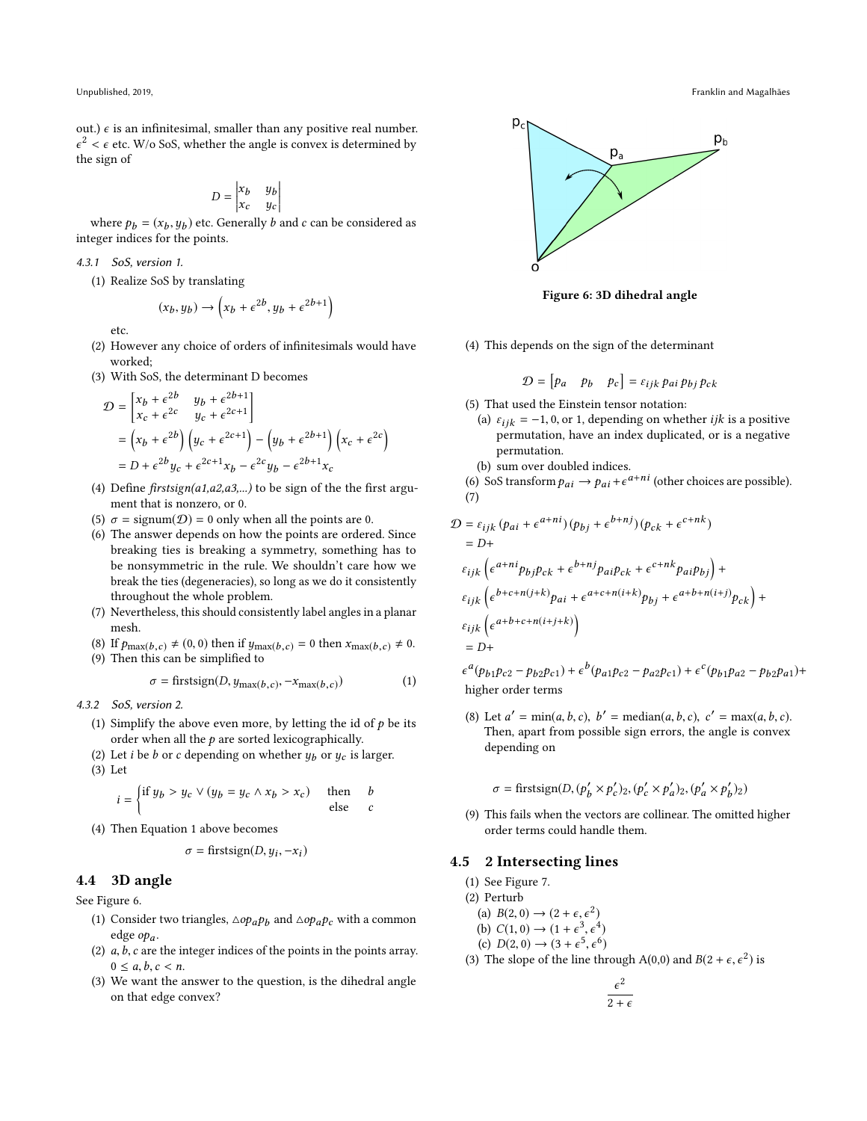Unpublished, 2019, Franklin and Magalhães

out.)  $\epsilon$  is an infinitesimal, smaller than any positive real number. ϵ the sign of  $2 < \epsilon$  etc. W/o SoS, whether the angle is convex is determined by the sign of

$$
D = \begin{vmatrix} x_b & y_b \\ x_c & y_c \end{vmatrix}
$$

where  $p_b = (x_b, y_b)$  etc. Generally b and c can be considered as integer indices for the points.

4.3.1 SoS, version 1.

(1) Realize SoS by translating

$$
(x_b, y_b) \rightarrow \left(x_b + \epsilon^{2b}, y_b + \epsilon^{2b+1}\right)
$$

etc.

- (2) However any choice of orders of infinitesimals would have worked;
- (3) With SoS, the determinant D becomes

$$
\mathcal{D} = \begin{bmatrix} x_b + \epsilon^{2b} & y_b + \epsilon^{2b+1} \\ x_c + \epsilon^{2c} & y_c + \epsilon^{2c+1} \end{bmatrix}
$$
  
=  $\left( x_b + \epsilon^{2b} \right) \left( y_c + \epsilon^{2c+1} \right) - \left( y_b + \epsilon^{2b+1} \right) \left( x_c + \epsilon^{2c} \right)$   
=  $D + \epsilon^{2b} y_c + \epsilon^{2c+1} x_b - \epsilon^{2c} y_b - \epsilon^{2b+1} x_c$ 

- (4) Define  $firstsign(a1,a2,a3,...)$  to be sign of the the first argument that is nonzero, or 0.
- (5)  $\sigma = \text{signum}(\mathcal{D}) = 0$  only when all the points are 0.
- (6) The answer depends on how the points are ordered. Since breaking ties is breaking a symmetry, something has to be nonsymmetric in the rule. We shouldn't care how we break the ties (degeneracies), so long as we do it consistently throughout the whole problem.
- (7) Nevertheless, this should consistently label angles in a planar mesh.
- (8) If  $p_{\max(b,c)} \neq (0, 0)$  then if  $y_{\max(b,c)} = 0$  then  $x_{\max(b,c)} \neq 0$ .
- (9) Then this can be simplified to

<span id="page-3-0"></span>
$$
\sigma = \text{firstsign}(D, y_{\text{max}(b,c)}, -x_{\text{max}(b,c)})
$$
(1)

4.3.2 SoS, version 2.

- (1) Simplify the above even more, by letting the id of  $p$  be its order when all the  $p$  are sorted lexicographically.
- (2) Let *i* be *b* or *c* depending on whether  $y_b$  or  $y_c$  is larger. (3) Let

$$
i = \begin{cases} \text{if } y_b > y_c \lor (y_b = y_c \land x_b > x_c) & \text{then} \\ \text{else} & \text{else} \end{cases}
$$

(4) Then Equation [1](#page-3-0) above becomes

$$
\sigma = \text{firstsign}(D, y_i, -x_i)
$$

# 4.4 3D angle

See Figure [6.](#page-3-1)

- (1) Consider two triangles,  $\triangle op_a p_b$  and  $\triangle op_a p_c$  with a common edge opa.
- (2)  $a, b, c$  are the integer indices of the points in the points array.  $0 \leq a, b, c < n$ .
- (3) We want the answer to the question, is the dihedral angle on that edge convex?

<span id="page-3-1"></span>

Figure 6: 3D dihedral angle

(4) This depends on the sign of the determinant

$$
\mathcal{D} = [p_a \quad p_b \quad p_c] = \varepsilon_{ijk} \, p_{ai} \, p_{bj} \, p_{ck}
$$

 $\mathbf{r}$ 

- (5) That used the Einstein tensor notation:
	- (a)  $\varepsilon_{ijk} = -1, 0,$  or 1, depending on whether *ijk* is a positive permutation, have an index duplicated, or is a negative permutation.

(b) sum over doubled indices.

(6) SoS transform  $p_{ai} \rightarrow p_{ai} + \epsilon^{a+ni}$  (other choices are possible).<br>(7) (7)

$$
\mathcal{D} = \varepsilon_{ijk} (p_{ai} + \varepsilon^{a+ni}) (p_{bj} + \varepsilon^{b+nj}) (p_{ck} + \varepsilon^{c+nk})
$$
  
\n
$$
= D +
$$
  
\n
$$
\varepsilon_{ijk} \left( \varepsilon^{a+ni} p_{bj} p_{ck} + \varepsilon^{b+nj} p_{ai} p_{ck} + \varepsilon^{c+nk} p_{ai} p_{bj} \right) +
$$
  
\n
$$
\varepsilon_{ijk} \left( \varepsilon^{b+c+n(j+k)} p_{ai} + \varepsilon^{a+c+n(i+k)} p_{bj} + \varepsilon^{a+b+n(i+j)} p_{ck} \right) +
$$
  
\n
$$
\varepsilon_{ijk} \left( \varepsilon^{a+b+c+n(i+j+k)} \right)
$$
  
\n
$$
= D +
$$

higher order terms  $a(p_{b1}p_{c2} - p_{b2}p_{c1}) + \epsilon^b(p_{a1}p_{c2} - p_{a2}p_{c1}) + \epsilon^c(p_{b1}p_{a2} - p_{b2}p_{a1}) +$ 

(8) Let  $a' = \min(a, b, c)$ ,  $b' = \text{median}(a, b, c)$ ,  $c' = \max(a, b, c)$ .<br>Then apart from possible sign errors the angle is convex Then, apart from possible sign errors, the angle is convex depending on

 $\sigma = \text{firstsign}(D, (p'_b \times p'_c)_2, (p'_c \times p'_a)_2, (p'_a \times p'_b)_2)$ 

(9) This fails when the vectors are collinear. The omitted higher order terms could handle them.

#### 4.5 2 Intersecting lines

- (1) See Figure [7.](#page-4-0)
- (2) Perturb
	- (a)  $B(2,0) \rightarrow (2 + \epsilon, \epsilon^2)$ <br>(b)  $C(1,0) \rightarrow (1 + \epsilon^3, \epsilon^4)$
	- (b)  $C(1, 0) \to (1 + \epsilon^3, \epsilon^4)$ <br>(c)  $D(2, 0) \to (3 + \epsilon^5, \epsilon^6)$
	- (c)  $D(2,0) \rightarrow (3 + \epsilon^5, \epsilon^6)$ <br>The slope of the line the
- (3) The slope of the line through A(0,0) and  $B(2 + \epsilon, \epsilon^2)$  is

$$
\frac{\epsilon^2}{2+\epsilon}
$$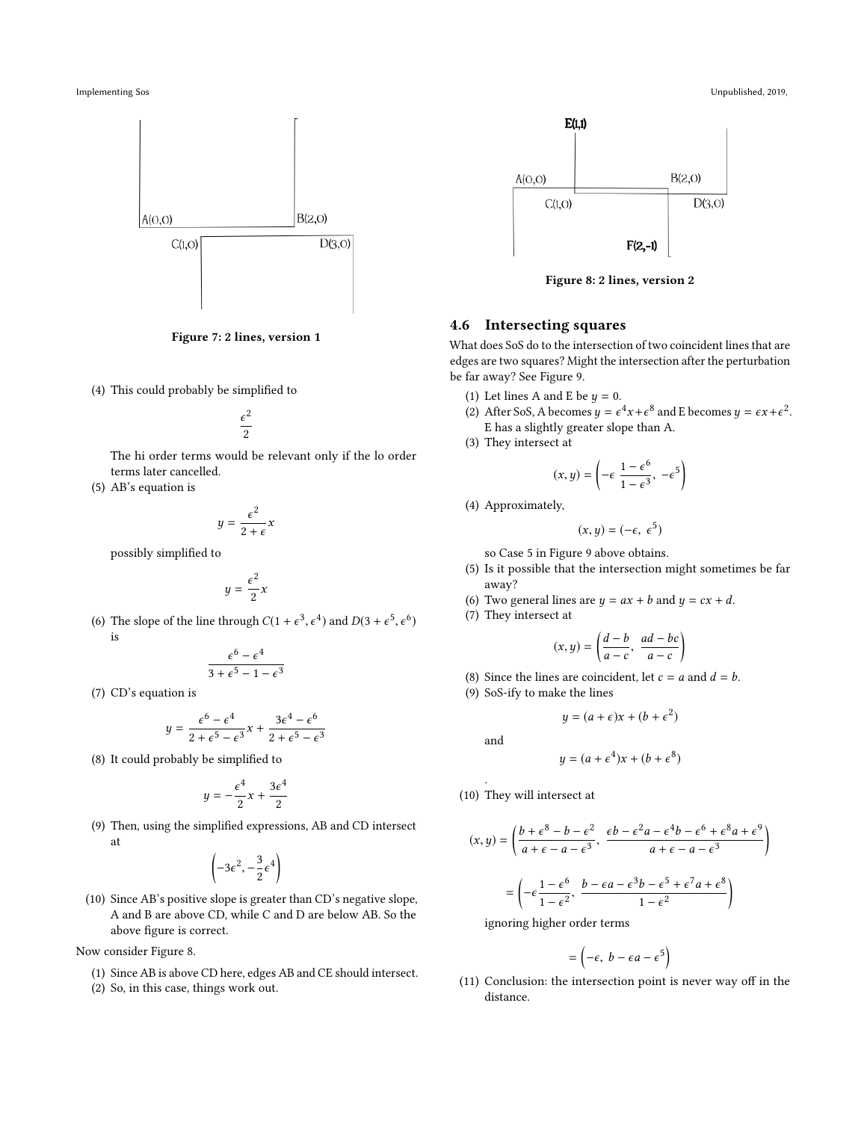<span id="page-4-0"></span>





(4) This could probably be simplified to

$$
\frac{\epsilon^2}{2}
$$

The hi order terms would be relevant only if the lo order terms later cancelled.

2

(5) AB's equation is

$$
y = \frac{c}{2 + \epsilon} x
$$
 possibly simplified to

$$
y=\frac{\epsilon^2}{2}x
$$

(6) The slope of the line through  $C(1 + \epsilon^3)$  $\overline{a}$ <sup>4</sup>) and  $D(3 + \epsilon^5)$  $\ddot{\phantom{a}}$ 6 ) is

$$
\frac{\epsilon^6 - \epsilon^4}{3 + \epsilon^5 - 1 - \epsilon^3}
$$

(7) CD's equation is

$$
y = \frac{\epsilon^6 - \epsilon^4}{2 + \epsilon^5 - \epsilon^3} x + \frac{3\epsilon^4 - \epsilon^6}{2 + \epsilon^5 - \epsilon^3}
$$

(8) It could probably be simplified to

$$
y = -\frac{\epsilon^4}{2}x + \frac{3\epsilon^4}{2}
$$

(9) Then, using the simplified expressions, AB and CD intersect at

$$
\left(-3\epsilon^2, -\frac{3}{2}\epsilon^4\right)
$$

(10) Since AB's positive slope is greater than CD's negative slope, A and B are above CD, while C and D are below AB. So the above figure is correct.

Now consider Figure [8.](#page-4-1)

- (1) Since AB is above CD here, edges AB and CE should intersect.
- (2) So, in this case, things work out.

<span id="page-4-1"></span>

Figure 8: 2 lines, version 2

# 4.6 Intersecting squares

What does SoS do to the intersection of two coincident lines that are edges are two squares? Might the intersection after the perturbation be far away? See Figure [9.](#page-5-0)

- (1) Let lines A and E be  $y = 0$ .<br>(2) After SoS A becomes  $y = \epsilon$ .
- (2) After SoS, A becomes  $y = \epsilon^4 x + \epsilon^8$  and E becomes  $y = \epsilon x + \epsilon^2$ . E has a slightly greater slope than A.
- (3) They intersect at

$$
(x, y) = \left(-\epsilon \frac{1 - \epsilon^6}{1 - \epsilon^3}, -\epsilon^5\right)
$$

(4) Approximately,

$$
(x,y)=(-\epsilon,\ \epsilon^5)
$$

so Case 5 in Figure [9](#page-5-0) above obtains.

(5) Is it possible that the intersection might sometimes be far away?

Ι

- (6) Two general lines are  $y = ax + b$  and  $y = cx + d$ .
- (7) They intersect at

$$
(x, y) = \left(\frac{d-b}{a-c}, \frac{ad-bc}{a-c}\right)
$$

- (8) Since the lines are coincident, let  $c = a$  and  $d = b$ .
- (9) SoS-ify to make the lines

$$
y = (a + \epsilon)x + (b + \epsilon^2)
$$

and

.

$$
y = (a + \epsilon^4)x + (b + \epsilon^8)
$$

(10) They will intersect at

$$
(x, y) = \left(\frac{b + \epsilon^8 - b - \epsilon^2}{a + \epsilon - a - \epsilon^3}, \frac{\epsilon b - \epsilon^2 a - \epsilon^4 b - \epsilon^6 + \epsilon^8 a + \epsilon^9}{a + \epsilon - a - \epsilon^3}\right)
$$

$$
= \left(-\epsilon \frac{1 - \epsilon^6}{1 - \epsilon^2}, \frac{b - \epsilon a - \epsilon^3 b - \epsilon^5 + \epsilon^7 a + \epsilon^8}{1 - \epsilon^2}\right)
$$

ignoring higher order terms

$$
= \left(-\epsilon, \; b - \epsilon a - \epsilon^5\right)
$$

(11) Conclusion: the intersection point is never way off in the distance.

Implementing Sos Unpublished, 2019,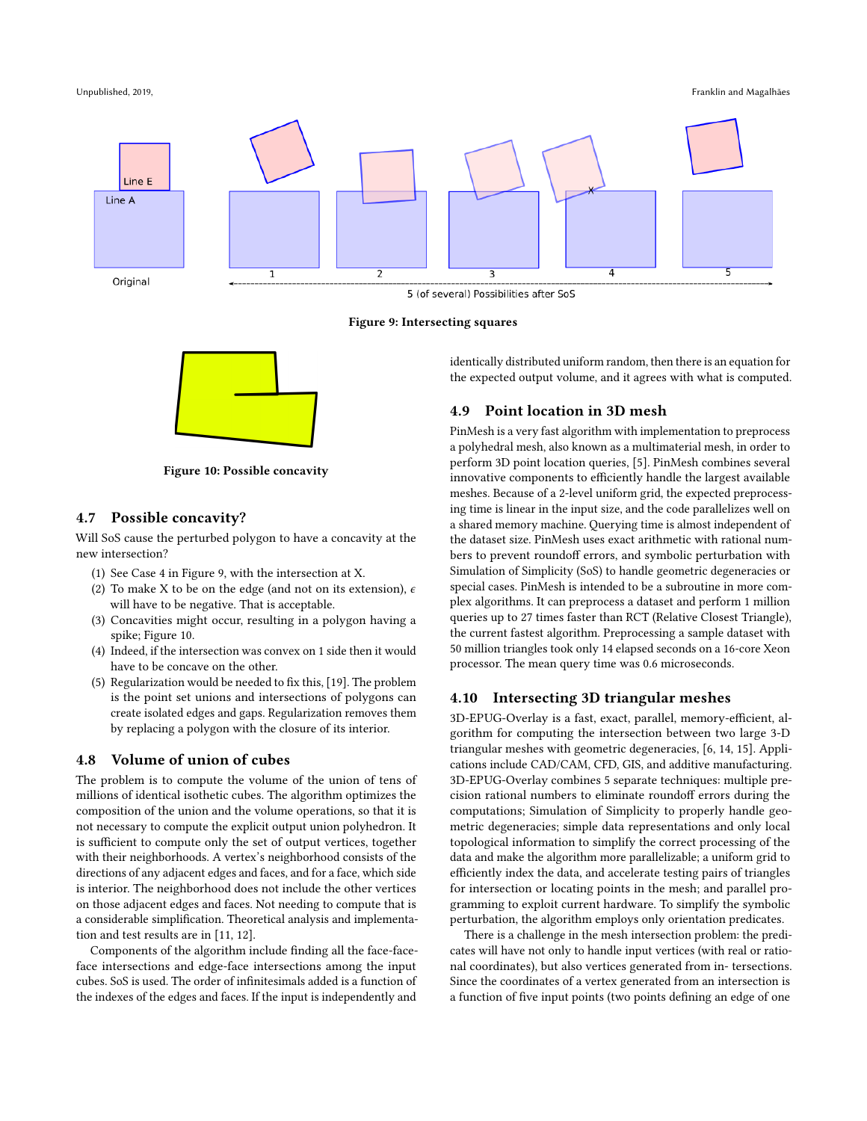Unpublished, 2019, Franklin and Magalhães

<span id="page-5-0"></span>

Figure 9: Intersecting squares

<span id="page-5-1"></span>

Figure 10: Possible concavity

# 4.7 Possible concavity?

Will SoS cause the perturbed polygon to have a concavity at the new intersection?

- (1) See Case 4 in Figure [9,](#page-5-0) with the intersection at X.
- (2) To make X to be on the edge (and not on its extension),  $\epsilon$ will have to be negative. That is acceptable.
- (3) Concavities might occur, resulting in a polygon having a spike; Figure [10.](#page-5-1)
- (4) Indeed, if the intersection was convex on 1 side then it would have to be concave on the other.
- (5) Regularization would be needed to fix this, [\[19\]](#page-6-13). The problem is the point set unions and intersections of polygons can create isolated edges and gaps. Regularization removes them by replacing a polygon with the closure of its interior.

# 4.8 Volume of union of cubes

The problem is to compute the volume of the union of tens of millions of identical isothetic cubes. The algorithm optimizes the composition of the union and the volume operations, so that it is not necessary to compute the explicit output union polyhedron. It is sufficient to compute only the set of output vertices, together with their neighborhoods. A vertex's neighborhood consists of the directions of any adjacent edges and faces, and for a face, which side is interior. The neighborhood does not include the other vertices on those adjacent edges and faces. Not needing to compute that is a considerable simplification. Theoretical analysis and implementation and test results are in [\[11,](#page-6-14) [12\]](#page-6-15).

Components of the algorithm include finding all the face-faceface intersections and edge-face intersections among the input cubes. SoS is used. The order of infinitesimals added is a function of the indexes of the edges and faces. If the input is independently and

identically distributed uniform random, then there is an equation for the expected output volume, and it agrees with what is computed.

# 4.9 Point location in 3D mesh

PinMesh is a very fast algorithm with implementation to preprocess a polyhedral mesh, also known as a multimaterial mesh, in order to perform 3D point location queries, [\[5\]](#page-6-16). PinMesh combines several innovative components to efficiently handle the largest available meshes. Because of a 2-level uniform grid, the expected preprocessing time is linear in the input size, and the code parallelizes well on a shared memory machine. Querying time is almost independent of the dataset size. PinMesh uses exact arithmetic with rational numbers to prevent roundoff errors, and symbolic perturbation with Simulation of Simplicity (SoS) to handle geometric degeneracies or special cases. PinMesh is intended to be a subroutine in more complex algorithms. It can preprocess a dataset and perform 1 million queries up to 27 times faster than RCT (Relative Closest Triangle), the current fastest algorithm. Preprocessing a sample dataset with 50 million triangles took only 14 elapsed seconds on a 16-core Xeon processor. The mean query time was 0.6 microseconds.

#### 4.10 Intersecting 3D triangular meshes

3D-EPUG-Overlay is a fast, exact, parallel, memory-efficient, algorithm for computing the intersection between two large 3-D triangular meshes with geometric degeneracies, [\[6,](#page-6-17) [14,](#page-6-18) [15\]](#page-6-19). Applications include CAD/CAM, CFD, GIS, and additive manufacturing. 3D-EPUG-Overlay combines 5 separate techniques: multiple precision rational numbers to eliminate roundoff errors during the computations; Simulation of Simplicity to properly handle geometric degeneracies; simple data representations and only local topological information to simplify the correct processing of the data and make the algorithm more parallelizable; a uniform grid to efficiently index the data, and accelerate testing pairs of triangles for intersection or locating points in the mesh; and parallel programming to exploit current hardware. To simplify the symbolic perturbation, the algorithm employs only orientation predicates.

There is a challenge in the mesh intersection problem: the predicates will have not only to handle input vertices (with real or rational coordinates), but also vertices generated from in- tersections. Since the coordinates of a vertex generated from an intersection is a function of five input points (two points defining an edge of one